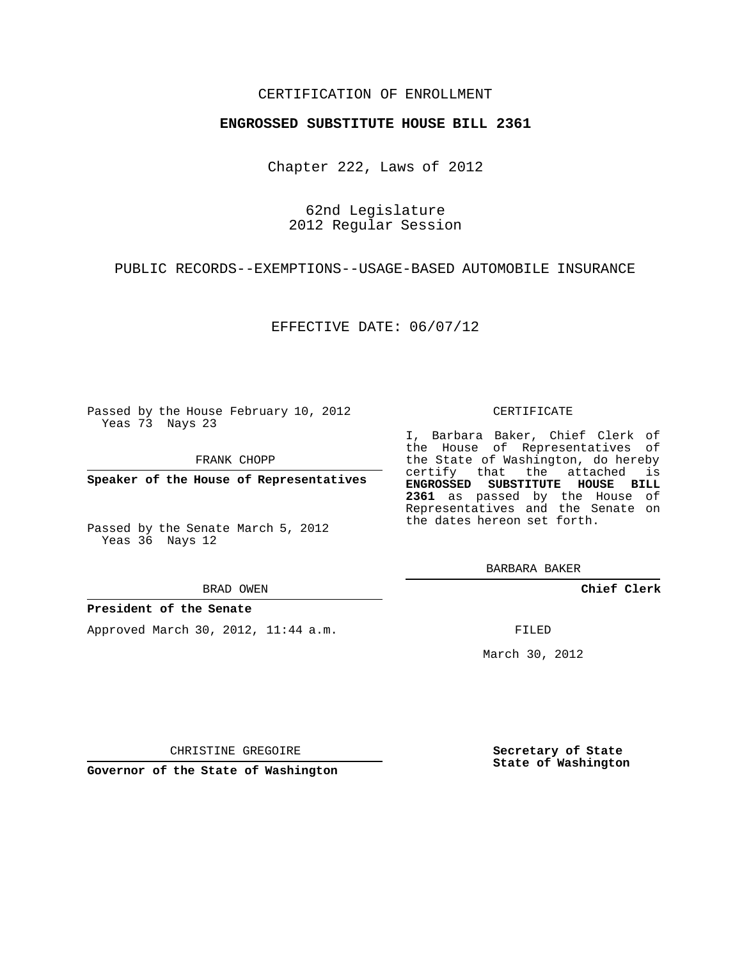### CERTIFICATION OF ENROLLMENT

#### **ENGROSSED SUBSTITUTE HOUSE BILL 2361**

Chapter 222, Laws of 2012

62nd Legislature 2012 Regular Session

PUBLIC RECORDS--EXEMPTIONS--USAGE-BASED AUTOMOBILE INSURANCE

EFFECTIVE DATE: 06/07/12

Passed by the House February 10, 2012 Yeas 73 Nays 23

FRANK CHOPP

**Speaker of the House of Representatives**

Passed by the Senate March 5, 2012 Yeas 36 Nays 12

BRAD OWEN

#### **President of the Senate**

Approved March 30, 2012, 11:44 a.m.

CERTIFICATE

I, Barbara Baker, Chief Clerk of the House of Representatives of the State of Washington, do hereby certify that the attached is **ENGROSSED SUBSTITUTE HOUSE BILL 2361** as passed by the House of Representatives and the Senate on the dates hereon set forth.

BARBARA BAKER

**Chief Clerk**

FILED

March 30, 2012

CHRISTINE GREGOIRE

**Governor of the State of Washington**

**Secretary of State State of Washington**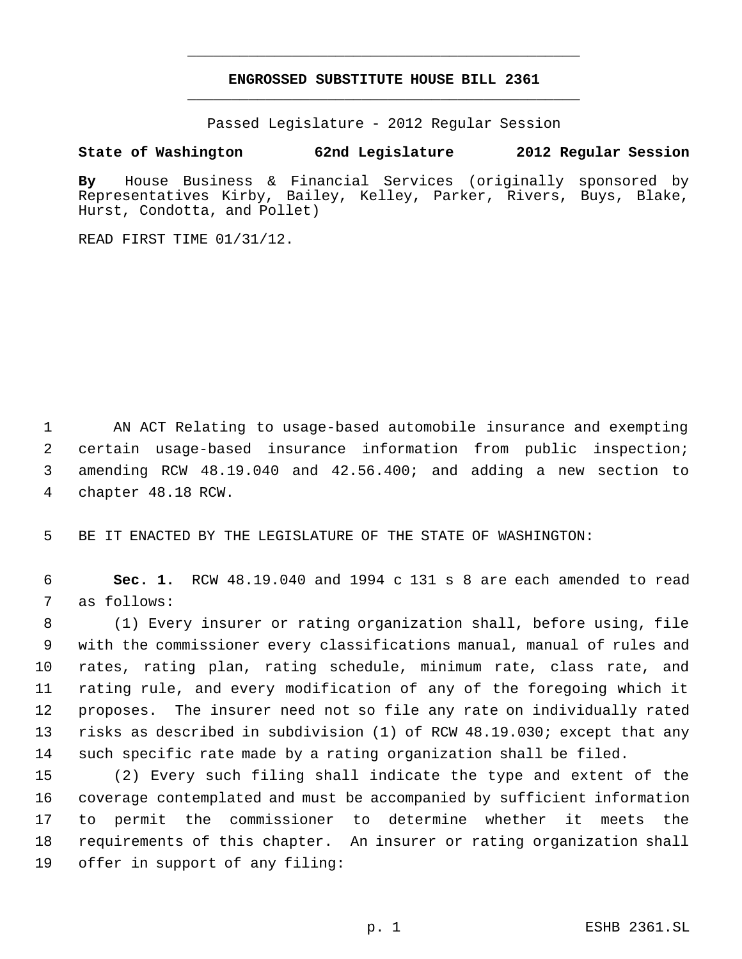# **ENGROSSED SUBSTITUTE HOUSE BILL 2361** \_\_\_\_\_\_\_\_\_\_\_\_\_\_\_\_\_\_\_\_\_\_\_\_\_\_\_\_\_\_\_\_\_\_\_\_\_\_\_\_\_\_\_\_\_

\_\_\_\_\_\_\_\_\_\_\_\_\_\_\_\_\_\_\_\_\_\_\_\_\_\_\_\_\_\_\_\_\_\_\_\_\_\_\_\_\_\_\_\_\_

Passed Legislature - 2012 Regular Session

## **State of Washington 62nd Legislature 2012 Regular Session**

**By** House Business & Financial Services (originally sponsored by Representatives Kirby, Bailey, Kelley, Parker, Rivers, Buys, Blake, Hurst, Condotta, and Pollet)

READ FIRST TIME 01/31/12.

 AN ACT Relating to usage-based automobile insurance and exempting certain usage-based insurance information from public inspection; amending RCW 48.19.040 and 42.56.400; and adding a new section to chapter 48.18 RCW.

BE IT ENACTED BY THE LEGISLATURE OF THE STATE OF WASHINGTON:

 **Sec. 1.** RCW 48.19.040 and 1994 c 131 s 8 are each amended to read as follows:

 (1) Every insurer or rating organization shall, before using, file with the commissioner every classifications manual, manual of rules and rates, rating plan, rating schedule, minimum rate, class rate, and rating rule, and every modification of any of the foregoing which it proposes. The insurer need not so file any rate on individually rated risks as described in subdivision (1) of RCW 48.19.030; except that any such specific rate made by a rating organization shall be filed.

 (2) Every such filing shall indicate the type and extent of the coverage contemplated and must be accompanied by sufficient information to permit the commissioner to determine whether it meets the requirements of this chapter. An insurer or rating organization shall offer in support of any filing: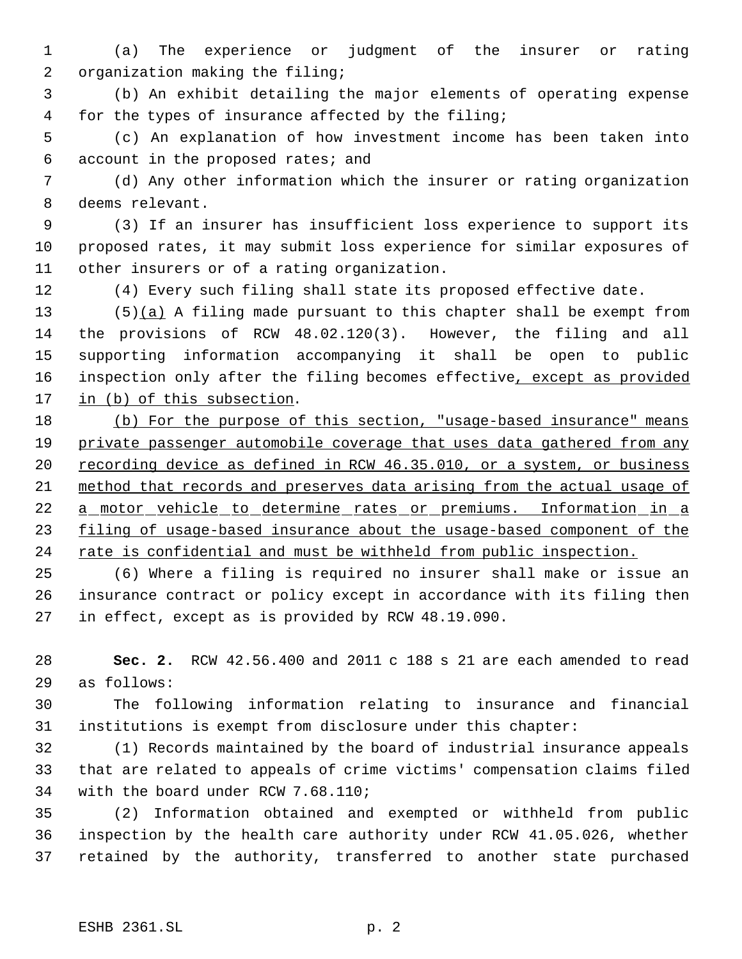(a) The experience or judgment of the insurer or rating organization making the filing;

 (b) An exhibit detailing the major elements of operating expense for the types of insurance affected by the filing;

 (c) An explanation of how investment income has been taken into account in the proposed rates; and

 (d) Any other information which the insurer or rating organization deems relevant.

 (3) If an insurer has insufficient loss experience to support its proposed rates, it may submit loss experience for similar exposures of other insurers or of a rating organization.

(4) Every such filing shall state its proposed effective date.

13  $(5)(a)$  A filing made pursuant to this chapter shall be exempt from the provisions of RCW 48.02.120(3). However, the filing and all supporting information accompanying it shall be open to public 16 inspection only after the filing becomes effective, except as provided 17 in (b) of this subsection.

18 (b) For the purpose of this section, "usage-based insurance" means 19 private passenger automobile coverage that uses data gathered from any recording device as defined in RCW 46.35.010, or a system, or business method that records and preserves data arising from the actual usage of 22 a motor vehicle to determine rates or premiums. Information in a 23 filing of usage-based insurance about the usage-based component of the 24 rate is confidential and must be withheld from public inspection.

 (6) Where a filing is required no insurer shall make or issue an insurance contract or policy except in accordance with its filing then in effect, except as is provided by RCW 48.19.090.

 **Sec. 2.** RCW 42.56.400 and 2011 c 188 s 21 are each amended to read as follows:

 The following information relating to insurance and financial institutions is exempt from disclosure under this chapter:

 (1) Records maintained by the board of industrial insurance appeals that are related to appeals of crime victims' compensation claims filed with the board under RCW 7.68.110;

 (2) Information obtained and exempted or withheld from public inspection by the health care authority under RCW 41.05.026, whether retained by the authority, transferred to another state purchased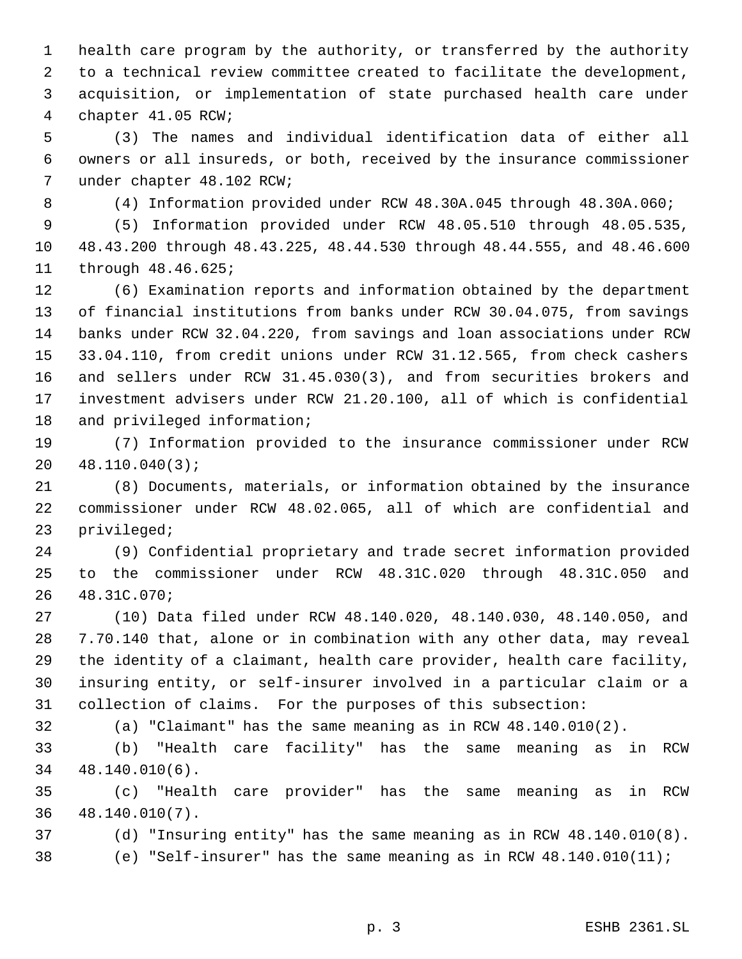health care program by the authority, or transferred by the authority to a technical review committee created to facilitate the development, acquisition, or implementation of state purchased health care under chapter 41.05 RCW;

 (3) The names and individual identification data of either all owners or all insureds, or both, received by the insurance commissioner under chapter 48.102 RCW;

(4) Information provided under RCW 48.30A.045 through 48.30A.060;

 (5) Information provided under RCW 48.05.510 through 48.05.535, 48.43.200 through 48.43.225, 48.44.530 through 48.44.555, and 48.46.600 through 48.46.625;

 (6) Examination reports and information obtained by the department of financial institutions from banks under RCW 30.04.075, from savings banks under RCW 32.04.220, from savings and loan associations under RCW 33.04.110, from credit unions under RCW 31.12.565, from check cashers and sellers under RCW 31.45.030(3), and from securities brokers and investment advisers under RCW 21.20.100, all of which is confidential and privileged information;

 (7) Information provided to the insurance commissioner under RCW 48.110.040(3);

 (8) Documents, materials, or information obtained by the insurance commissioner under RCW 48.02.065, all of which are confidential and privileged;

 (9) Confidential proprietary and trade secret information provided to the commissioner under RCW 48.31C.020 through 48.31C.050 and 48.31C.070;

 (10) Data filed under RCW 48.140.020, 48.140.030, 48.140.050, and 7.70.140 that, alone or in combination with any other data, may reveal the identity of a claimant, health care provider, health care facility, insuring entity, or self-insurer involved in a particular claim or a collection of claims. For the purposes of this subsection:

(a) "Claimant" has the same meaning as in RCW 48.140.010(2).

 (b) "Health care facility" has the same meaning as in RCW 48.140.010(6).

 (c) "Health care provider" has the same meaning as in RCW 48.140.010(7).

(d) "Insuring entity" has the same meaning as in RCW 48.140.010(8).

(e) "Self-insurer" has the same meaning as in RCW 48.140.010(11);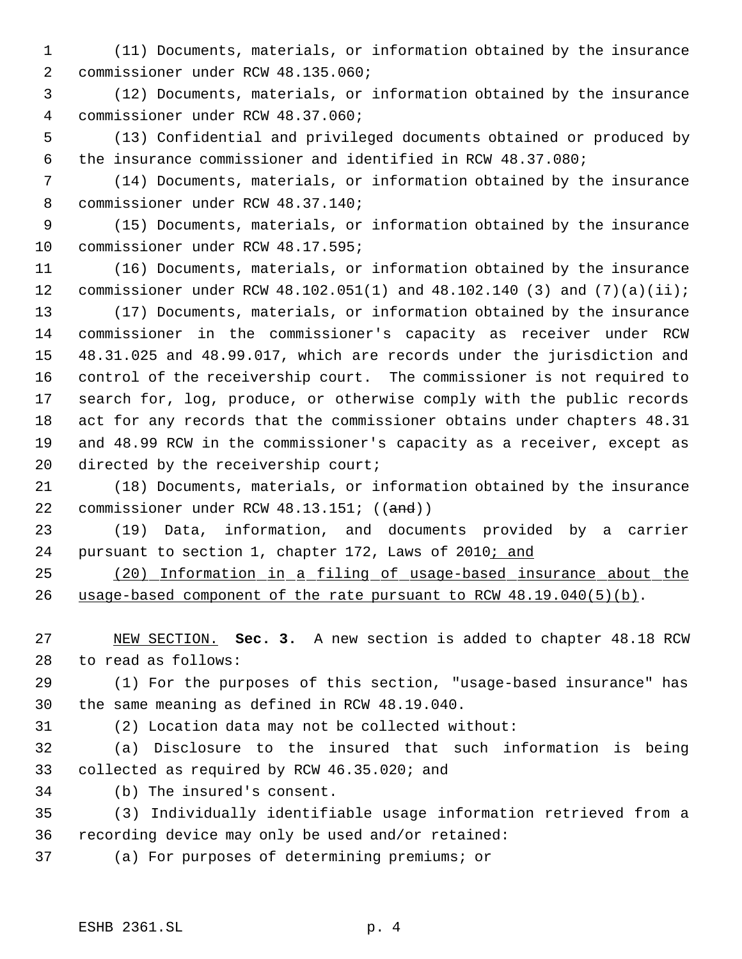- (11) Documents, materials, or information obtained by the insurance commissioner under RCW 48.135.060;
- (12) Documents, materials, or information obtained by the insurance commissioner under RCW 48.37.060;
- (13) Confidential and privileged documents obtained or produced by the insurance commissioner and identified in RCW 48.37.080;
- (14) Documents, materials, or information obtained by the insurance commissioner under RCW 48.37.140;
- (15) Documents, materials, or information obtained by the insurance commissioner under RCW 48.17.595;
- (16) Documents, materials, or information obtained by the insurance commissioner under RCW 48.102.051(1) and 48.102.140 (3) and (7)(a)(ii);
- (17) Documents, materials, or information obtained by the insurance commissioner in the commissioner's capacity as receiver under RCW 48.31.025 and 48.99.017, which are records under the jurisdiction and control of the receivership court. The commissioner is not required to search for, log, produce, or otherwise comply with the public records act for any records that the commissioner obtains under chapters 48.31 and 48.99 RCW in the commissioner's capacity as a receiver, except as 20 directed by the receivership court;
- (18) Documents, materials, or information obtained by the insurance 22 commissioner under RCW 48.13.151; ((and))
- (19) Data, information, and documents provided by a carrier 24 pursuant to section 1, chapter 172, Laws of 2010; and
- (20) Information in a filing of usage-based insurance about the usage-based component of the rate pursuant to RCW 48.19.040(5)(b).
- NEW SECTION. **Sec. 3.** A new section is added to chapter 48.18 RCW to read as follows:
- (1) For the purposes of this section, "usage-based insurance" has the same meaning as defined in RCW 48.19.040.
- 
- (2) Location data may not be collected without:
- (a) Disclosure to the insured that such information is being collected as required by RCW 46.35.020; and
- (b) The insured's consent.
- (3) Individually identifiable usage information retrieved from a recording device may only be used and/or retained:
- (a) For purposes of determining premiums; or